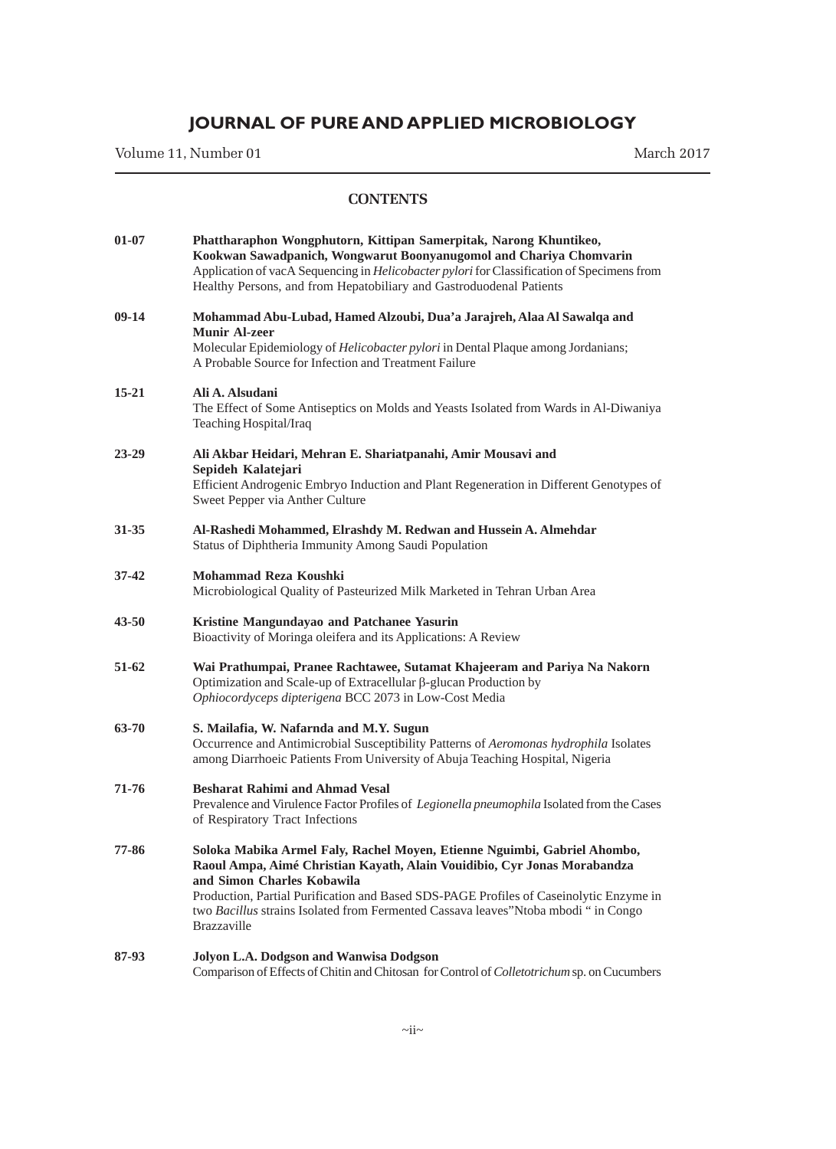Volume 11, Number 01 March 2017

| $01 - 07$ | Phattharaphon Wongphutorn, Kittipan Samerpitak, Narong Khuntikeo,<br>Kookwan Sawadpanich, Wongwarut Boonyanugomol and Chariya Chomvarin<br>Application of vacA Sequencing in Helicobacter pylori for Classification of Specimens from<br>Healthy Persons, and from Hepatobiliary and Gastroduodenal Patients                                                                             |
|-----------|------------------------------------------------------------------------------------------------------------------------------------------------------------------------------------------------------------------------------------------------------------------------------------------------------------------------------------------------------------------------------------------|
| $09-14$   | Mohammad Abu-Lubad, Hamed Alzoubi, Dua'a Jarajreh, Alaa Al Sawalqa and<br><b>Munir Al-zeer</b><br>Molecular Epidemiology of Helicobacter pylori in Dental Plaque among Jordanians;<br>A Probable Source for Infection and Treatment Failure                                                                                                                                              |
| $15 - 21$ | Ali A. Alsudani<br>The Effect of Some Antiseptics on Molds and Yeasts Isolated from Wards in Al-Diwaniya<br>Teaching Hospital/Iraq                                                                                                                                                                                                                                                       |
| $23 - 29$ | Ali Akbar Heidari, Mehran E. Shariatpanahi, Amir Mousavi and<br>Sepideh Kalatejari<br>Efficient Androgenic Embryo Induction and Plant Regeneration in Different Genotypes of<br>Sweet Pepper via Anther Culture                                                                                                                                                                          |
| 31-35     | Al-Rashedi Mohammed, Elrashdy M. Redwan and Hussein A. Almehdar<br>Status of Diphtheria Immunity Among Saudi Population                                                                                                                                                                                                                                                                  |
| $37 - 42$ | Mohammad Reza Koushki<br>Microbiological Quality of Pasteurized Milk Marketed in Tehran Urban Area                                                                                                                                                                                                                                                                                       |
| $43 - 50$ | Kristine Mangundayao and Patchanee Yasurin<br>Bioactivity of Moringa oleifera and its Applications: A Review                                                                                                                                                                                                                                                                             |
| 51-62     | Wai Prathumpai, Pranee Rachtawee, Sutamat Khajeeram and Pariya Na Nakorn<br>Optimization and Scale-up of Extracellular β-glucan Production by<br>Ophiocordyceps dipterigena BCC 2073 in Low-Cost Media                                                                                                                                                                                   |
| 63-70     | S. Mailafia, W. Nafarnda and M.Y. Sugun<br>Occurrence and Antimicrobial Susceptibility Patterns of Aeromonas hydrophila Isolates<br>among Diarrhoeic Patients From University of Abuja Teaching Hospital, Nigeria                                                                                                                                                                        |
| 71-76     | <b>Besharat Rahimi and Ahmad Vesal</b><br>Prevalence and Virulence Factor Profiles of Legionella pneumophila Isolated from the Cases<br>of Respiratory Tract Infections                                                                                                                                                                                                                  |
| 77-86     | Soloka Mabika Armel Faly, Rachel Moyen, Etienne Nguimbi, Gabriel Ahombo,<br>Raoul Ampa, Aimé Christian Kayath, Alain Vouidibio, Cyr Jonas Morabandza<br>and Simon Charles Kobawila<br>Production, Partial Purification and Based SDS-PAGE Profiles of Caseinolytic Enzyme in<br>two Bacillus strains Isolated from Fermented Cassava leaves"Ntoba mbodi " in Congo<br><b>Brazzaville</b> |
| 87-93     | Jolyon L.A. Dodgson and Wanwisa Dodgson<br>Comparison of Effects of Chitin and Chitosan for Control of Colletotrichum sp. on Cucumbers                                                                                                                                                                                                                                                   |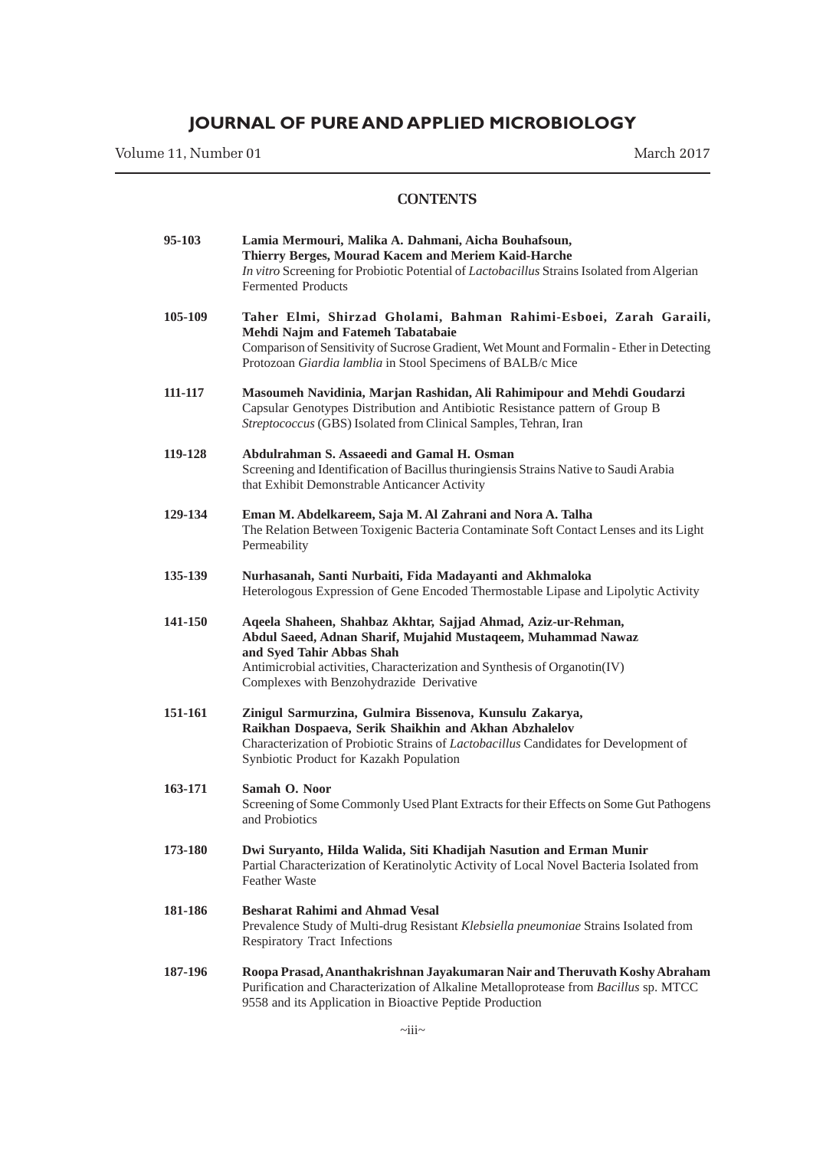Volume 11, Number 01 March 2017

| 95-103  | Lamia Mermouri, Malika A. Dahmani, Aicha Bouhafsoun,<br>Thierry Berges, Mourad Kacem and Meriem Kaid-Harche<br>In vitro Screening for Probiotic Potential of Lactobacillus Strains Isolated from Algerian<br><b>Fermented Products</b>                                              |
|---------|-------------------------------------------------------------------------------------------------------------------------------------------------------------------------------------------------------------------------------------------------------------------------------------|
| 105-109 | Taher Elmi, Shirzad Gholami, Bahman Rahimi-Esboei, Zarah Garaili,<br>Mehdi Najm and Fatemeh Tabatabaie<br>Comparison of Sensitivity of Sucrose Gradient, Wet Mount and Formalin - Ether in Detecting<br>Protozoan Giardia lamblia in Stool Specimens of BALB/c Mice                 |
| 111-117 | Masoumeh Navidinia, Marjan Rashidan, Ali Rahimipour and Mehdi Goudarzi<br>Capsular Genotypes Distribution and Antibiotic Resistance pattern of Group B<br>Streptococcus (GBS) Isolated from Clinical Samples, Tehran, Iran                                                          |
| 119-128 | Abdulrahman S. Assaeedi and Gamal H. Osman<br>Screening and Identification of Bacillus thuringiensis Strains Native to Saudi Arabia<br>that Exhibit Demonstrable Anticancer Activity                                                                                                |
| 129-134 | Eman M. Abdelkareem, Saja M. Al Zahrani and Nora A. Talha<br>The Relation Between Toxigenic Bacteria Contaminate Soft Contact Lenses and its Light<br>Permeability                                                                                                                  |
| 135-139 | Nurhasanah, Santi Nurbaiti, Fida Madayanti and Akhmaloka<br>Heterologous Expression of Gene Encoded Thermostable Lipase and Lipolytic Activity                                                                                                                                      |
| 141-150 | Aqeela Shaheen, Shahbaz Akhtar, Sajjad Ahmad, Aziz-ur-Rehman,<br>Abdul Saeed, Adnan Sharif, Mujahid Mustaqeem, Muhammad Nawaz<br>and Syed Tahir Abbas Shah<br>Antimicrobial activities, Characterization and Synthesis of Organotin(IV)<br>Complexes with Benzohydrazide Derivative |
| 151-161 | Zinigul Sarmurzina, Gulmira Bissenova, Kunsulu Zakarya,<br>Raikhan Dospaeva, Serik Shaikhin and Akhan Abzhalelov<br>Characterization of Probiotic Strains of <i>Lactobacillus</i> Candidates for Development of<br>Synbiotic Product for Kazakh Population                          |
| 163-171 | Samah O. Noor<br>Screening of Some Commonly Used Plant Extracts for their Effects on Some Gut Pathogens<br>and Probiotics                                                                                                                                                           |
| 173-180 | Dwi Suryanto, Hilda Walida, Siti Khadijah Nasution and Erman Munir<br>Partial Characterization of Keratinolytic Activity of Local Novel Bacteria Isolated from<br><b>Feather Waste</b>                                                                                              |
| 181-186 | <b>Besharat Rahimi and Ahmad Vesal</b><br>Prevalence Study of Multi-drug Resistant Klebsiella pneumoniae Strains Isolated from<br><b>Respiratory Tract Infections</b>                                                                                                               |
| 187-196 | Roopa Prasad, Ananthakrishnan Jayakumaran Nair and Theruvath Koshy Abraham<br>Purification and Characterization of Alkaline Metalloprotease from Bacillus sp. MTCC<br>9558 and its Application in Bioactive Peptide Production                                                      |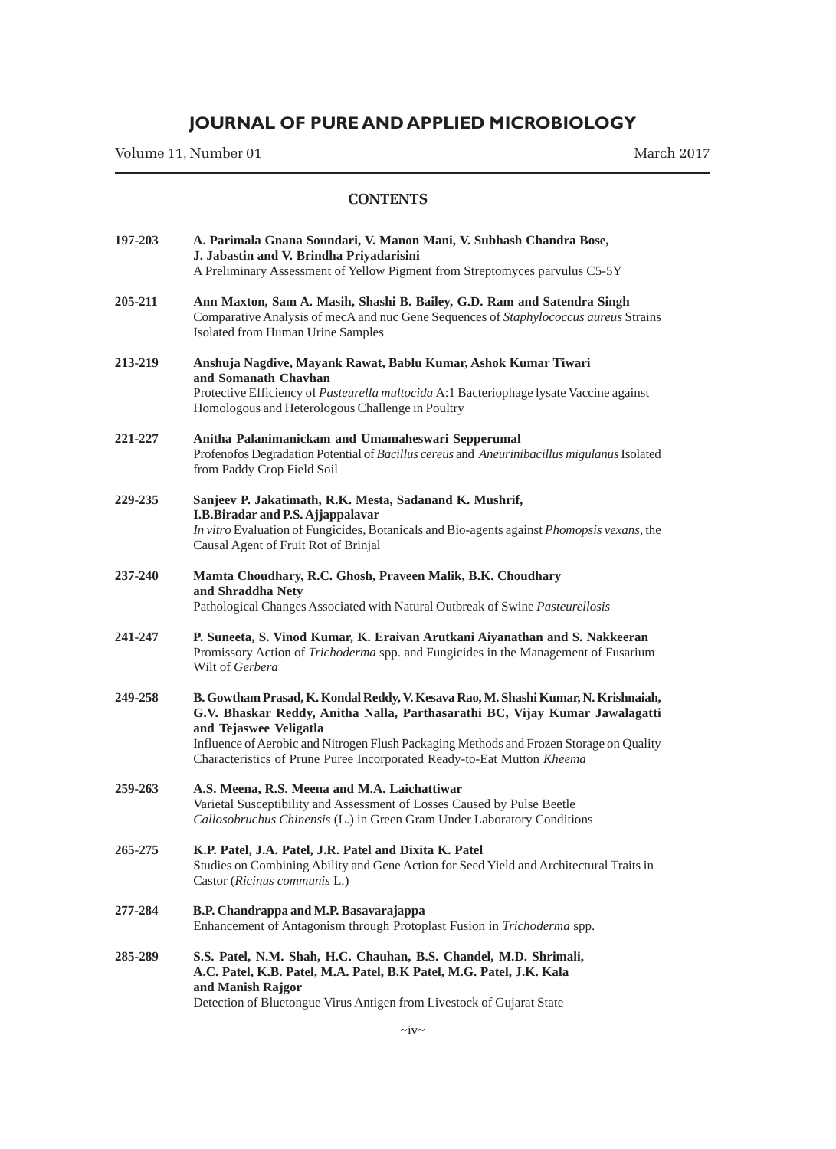Volume 11, Number 01 March 2017

| 197-203 | A. Parimala Gnana Soundari, V. Manon Mani, V. Subhash Chandra Bose,<br>J. Jabastin and V. Brindha Priyadarisini<br>A Preliminary Assessment of Yellow Pigment from Streptomyces parvulus C5-5Y                                                                                                                                                                   |
|---------|------------------------------------------------------------------------------------------------------------------------------------------------------------------------------------------------------------------------------------------------------------------------------------------------------------------------------------------------------------------|
| 205-211 | Ann Maxton, Sam A. Masih, Shashi B. Bailey, G.D. Ram and Satendra Singh<br>Comparative Analysis of mecA and nuc Gene Sequences of Staphylococcus aureus Strains<br>Isolated from Human Urine Samples                                                                                                                                                             |
| 213-219 | Anshuja Nagdive, Mayank Rawat, Bablu Kumar, Ashok Kumar Tiwari<br>and Somanath Chavhan<br>Protective Efficiency of Pasteurella multocida A:1 Bacteriophage lysate Vaccine against<br>Homologous and Heterologous Challenge in Poultry                                                                                                                            |
| 221-227 | Anitha Palanimanickam and Umamaheswari Sepperumal<br>Profenofos Degradation Potential of Bacillus cereus and Aneurinibacillus migulanus Isolated<br>from Paddy Crop Field Soil                                                                                                                                                                                   |
| 229-235 | Sanjeev P. Jakatimath, R.K. Mesta, Sadanand K. Mushrif,<br>I.B.Biradar and P.S. Ajjappalavar<br>In vitro Evaluation of Fungicides, Botanicals and Bio-agents against Phomopsis vexans, the<br>Causal Agent of Fruit Rot of Brinjal                                                                                                                               |
| 237-240 | Mamta Choudhary, R.C. Ghosh, Praveen Malik, B.K. Choudhary<br>and Shraddha Nety<br>Pathological Changes Associated with Natural Outbreak of Swine Pasteurellosis                                                                                                                                                                                                 |
| 241-247 | P. Suneeta, S. Vinod Kumar, K. Eraivan Arutkani Aiyanathan and S. Nakkeeran<br>Promissory Action of Trichoderma spp. and Fungicides in the Management of Fusarium<br>Wilt of Gerbera                                                                                                                                                                             |
| 249-258 | B. Gowtham Prasad, K. Kondal Reddy, V. Kesava Rao, M. Shashi Kumar, N. Krishnaiah,<br>G.V. Bhaskar Reddy, Anitha Nalla, Parthasarathi BC, Vijay Kumar Jawalagatti<br>and Tejaswee Veligatla<br>Influence of Aerobic and Nitrogen Flush Packaging Methods and Frozen Storage on Quality<br>Characteristics of Prune Puree Incorporated Ready-to-Eat Mutton Kheema |
| 259-263 | A.S. Meena, R.S. Meena and M.A. Laichattiwar<br>Varietal Susceptibility and Assessment of Losses Caused by Pulse Beetle<br>Callosobruchus Chinensis (L.) in Green Gram Under Laboratory Conditions                                                                                                                                                               |
| 265-275 | K.P. Patel, J.A. Patel, J.R. Patel and Dixita K. Patel<br>Studies on Combining Ability and Gene Action for Seed Yield and Architectural Traits in<br>Castor (Ricinus communis L.)                                                                                                                                                                                |
| 277-284 | B.P. Chandrappa and M.P. Basavarajappa<br>Enhancement of Antagonism through Protoplast Fusion in Trichoderma spp.                                                                                                                                                                                                                                                |
| 285-289 | S.S. Patel, N.M. Shah, H.C. Chauhan, B.S. Chandel, M.D. Shrimali,<br>A.C. Patel, K.B. Patel, M.A. Patel, B.K Patel, M.G. Patel, J.K. Kala<br>and Manish Rajgor<br>Detection of Bluetongue Virus Antigen from Livestock of Gujarat State                                                                                                                          |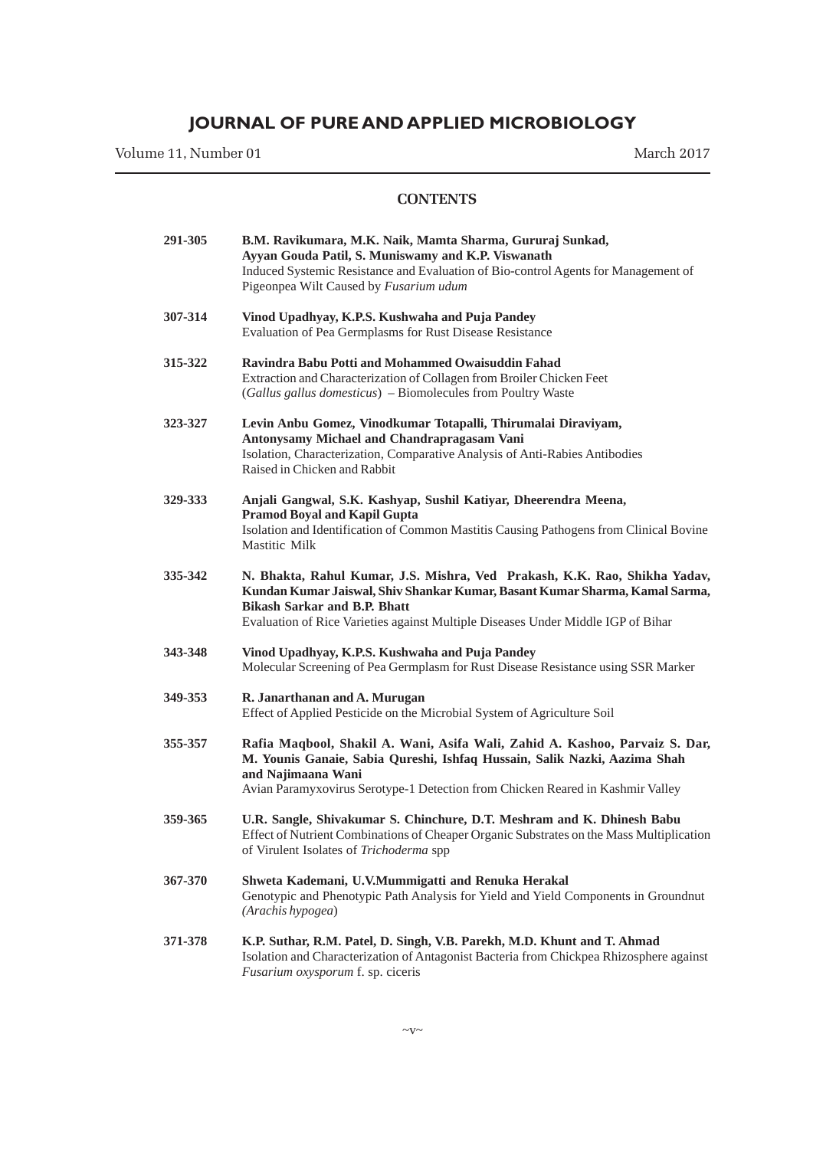Volume 11, Number 01 March 2017

| 291-305 | B.M. Ravikumara, M.K. Naik, Mamta Sharma, Gururaj Sunkad,<br>Ayyan Gouda Patil, S. Muniswamy and K.P. Viswanath<br>Induced Systemic Resistance and Evaluation of Bio-control Agents for Management of<br>Pigeonpea Wilt Caused by Fusarium udum                                     |
|---------|-------------------------------------------------------------------------------------------------------------------------------------------------------------------------------------------------------------------------------------------------------------------------------------|
| 307-314 | Vinod Upadhyay, K.P.S. Kushwaha and Puja Pandey<br>Evaluation of Pea Germplasms for Rust Disease Resistance                                                                                                                                                                         |
| 315-322 | Ravindra Babu Potti and Mohammed Owaisuddin Fahad<br>Extraction and Characterization of Collagen from Broiler Chicken Feet<br>(Gallus gallus domesticus) - Biomolecules from Poultry Waste                                                                                          |
| 323-327 | Levin Anbu Gomez, Vinodkumar Totapalli, Thirumalai Diraviyam,<br>Antonysamy Michael and Chandrapragasam Vani<br>Isolation, Characterization, Comparative Analysis of Anti-Rabies Antibodies<br>Raised in Chicken and Rabbit                                                         |
| 329-333 | Anjali Gangwal, S.K. Kashyap, Sushil Katiyar, Dheerendra Meena,<br><b>Pramod Boyal and Kapil Gupta</b><br>Isolation and Identification of Common Mastitis Causing Pathogens from Clinical Bovine<br>Mastitic Milk                                                                   |
| 335-342 | N. Bhakta, Rahul Kumar, J.S. Mishra, Ved Prakash, K.K. Rao, Shikha Yadav,<br>Kundan Kumar Jaiswal, Shiv Shankar Kumar, Basant Kumar Sharma, Kamal Sarma,<br><b>Bikash Sarkar and B.P. Bhatt</b><br>Evaluation of Rice Varieties against Multiple Diseases Under Middle IGP of Bihar |
| 343-348 | Vinod Upadhyay, K.P.S. Kushwaha and Puja Pandey<br>Molecular Screening of Pea Germplasm for Rust Disease Resistance using SSR Marker                                                                                                                                                |
| 349-353 | R. Janarthanan and A. Murugan<br>Effect of Applied Pesticide on the Microbial System of Agriculture Soil                                                                                                                                                                            |
| 355-357 | Rafia Maqbool, Shakil A. Wani, Asifa Wali, Zahid A. Kashoo, Parvaiz S. Dar,<br>M. Younis Ganaie, Sabia Qureshi, Ishfaq Hussain, Salik Nazki, Aazima Shah<br>and Najimaana Wani<br>Avian Paramyxovirus Serotype-1 Detection from Chicken Reared in Kashmir Valley                    |
| 359-365 | U.R. Sangle, Shivakumar S. Chinchure, D.T. Meshram and K. Dhinesh Babu<br>Effect of Nutrient Combinations of Cheaper Organic Substrates on the Mass Multiplication<br>of Virulent Isolates of Trichoderma spp                                                                       |
| 367-370 | Shweta Kademani, U.V.Mummigatti and Renuka Herakal<br>Genotypic and Phenotypic Path Analysis for Yield and Yield Components in Groundnut<br>(Arachis hypogea)                                                                                                                       |
| 371-378 | K.P. Suthar, R.M. Patel, D. Singh, V.B. Parekh, M.D. Khunt and T. Ahmad<br>Isolation and Characterization of Antagonist Bacteria from Chickpea Rhizosphere against<br><i>Fusarium oxysporum f. sp. ciceris</i>                                                                      |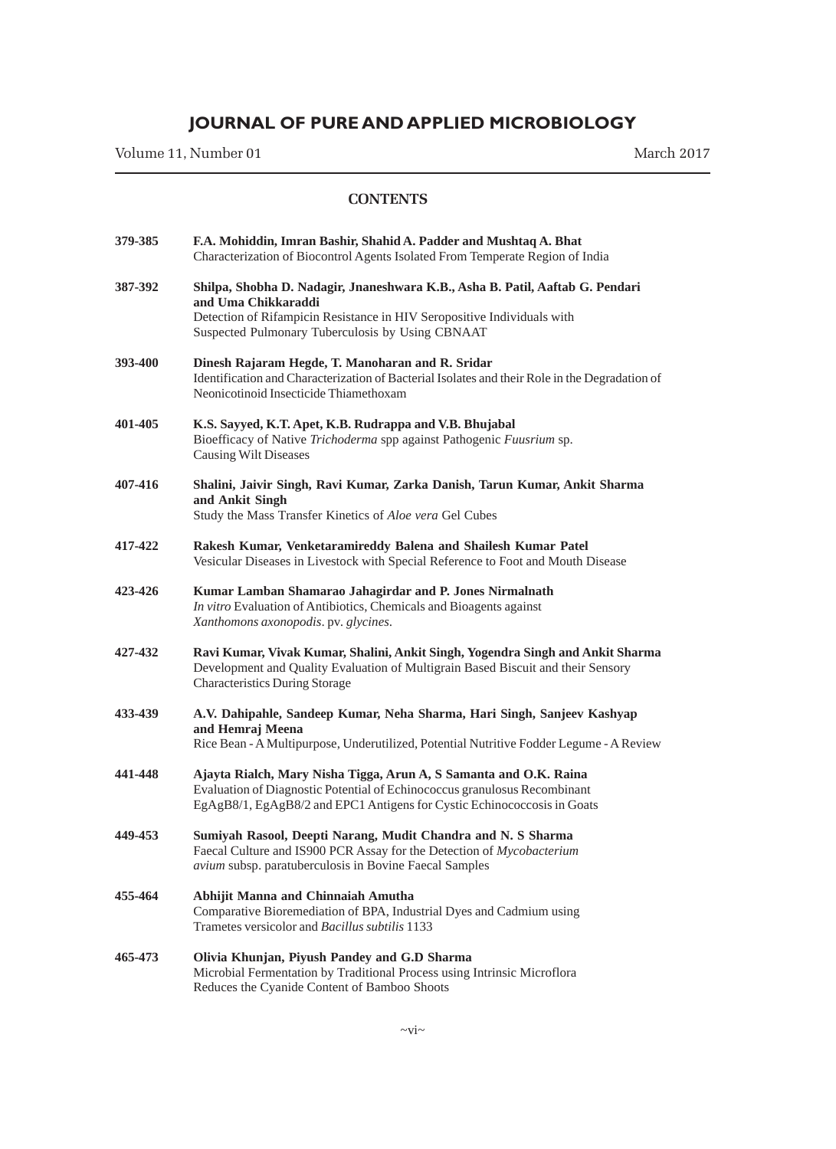Volume 11, Number 01 March 2017

| 379-385 | F.A. Mohiddin, Imran Bashir, Shahid A. Padder and Mushtaq A. Bhat<br>Characterization of Biocontrol Agents Isolated From Temperate Region of India                                                                                  |
|---------|-------------------------------------------------------------------------------------------------------------------------------------------------------------------------------------------------------------------------------------|
| 387-392 | Shilpa, Shobha D. Nadagir, Jnaneshwara K.B., Asha B. Patil, Aaftab G. Pendari<br>and Uma Chikkaraddi<br>Detection of Rifampicin Resistance in HIV Seropositive Individuals with<br>Suspected Pulmonary Tuberculosis by Using CBNAAT |
| 393-400 | Dinesh Rajaram Hegde, T. Manoharan and R. Sridar<br>Identification and Characterization of Bacterial Isolates and their Role in the Degradation of<br>Neonicotinoid Insecticide Thiamethoxam                                        |
| 401-405 | K.S. Sayyed, K.T. Apet, K.B. Rudrappa and V.B. Bhujabal<br>Bioefficacy of Native Trichoderma spp against Pathogenic Fuusrium sp.<br><b>Causing Wilt Diseases</b>                                                                    |
| 407-416 | Shalini, Jaivir Singh, Ravi Kumar, Zarka Danish, Tarun Kumar, Ankit Sharma<br>and Ankit Singh<br>Study the Mass Transfer Kinetics of Aloe vera Gel Cubes                                                                            |
| 417-422 | Rakesh Kumar, Venketaramireddy Balena and Shailesh Kumar Patel<br>Vesicular Diseases in Livestock with Special Reference to Foot and Mouth Disease                                                                                  |
| 423-426 | Kumar Lamban Shamarao Jahagirdar and P. Jones Nirmalnath<br>In vitro Evaluation of Antibiotics, Chemicals and Bioagents against<br>Xanthomons axonopodis. pv. glycines.                                                             |
| 427-432 | Ravi Kumar, Vivak Kumar, Shalini, Ankit Singh, Yogendra Singh and Ankit Sharma<br>Development and Quality Evaluation of Multigrain Based Biscuit and their Sensory<br><b>Characteristics During Storage</b>                         |
| 433-439 | A.V. Dahipahle, Sandeep Kumar, Neha Sharma, Hari Singh, Sanjeev Kashyap<br>and Hemraj Meena<br>Rice Bean - A Multipurpose, Underutilized, Potential Nutritive Fodder Legume - A Review                                              |
| 441-448 | Ajayta Rialch, Mary Nisha Tigga, Arun A, S Samanta and O.K. Raina<br>Evaluation of Diagnostic Potential of Echinococcus granulosus Recombinant<br>EgAgB8/1, EgAgB8/2 and EPC1 Antigens for Cystic Echinococcosis in Goats           |
| 449-453 | Sumiyah Rasool, Deepti Narang, Mudit Chandra and N. S Sharma<br>Faecal Culture and IS900 PCR Assay for the Detection of Mycobacterium<br>avium subsp. paratuberculosis in Bovine Faecal Samples                                     |
| 455-464 | Abhijit Manna and Chinnaiah Amutha<br>Comparative Bioremediation of BPA, Industrial Dyes and Cadmium using<br>Trametes versicolor and <i>Bacillus subtilis</i> 1133                                                                 |
| 465-473 | Olivia Khunjan, Piyush Pandey and G.D Sharma<br>Microbial Fermentation by Traditional Process using Intrinsic Microflora<br>Reduces the Cyanide Content of Bamboo Shoots                                                            |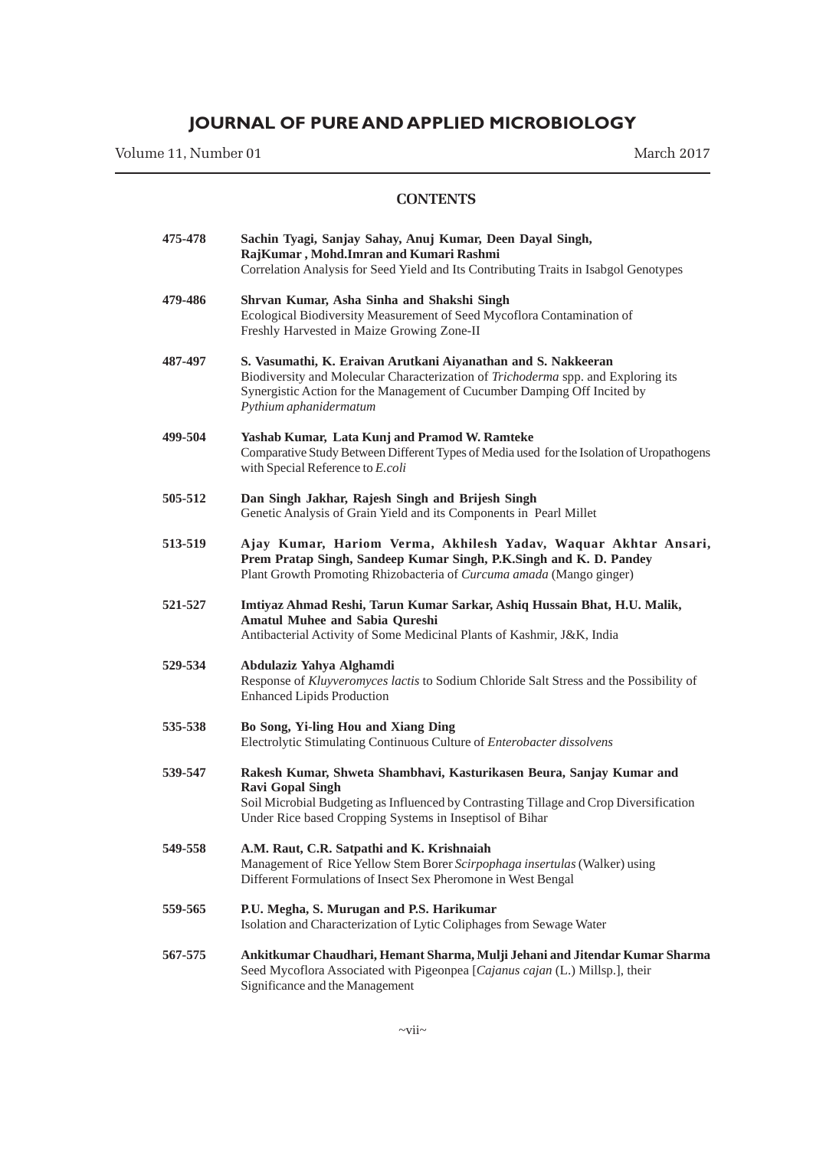Volume 11, Number 01 March 2017

| 475-478 | Sachin Tyagi, Sanjay Sahay, Anuj Kumar, Deen Dayal Singh,<br>RajKumar, Mohd.Imran and Kumari Rashmi<br>Correlation Analysis for Seed Yield and Its Contributing Traits in Isabgol Genotypes                                                              |
|---------|----------------------------------------------------------------------------------------------------------------------------------------------------------------------------------------------------------------------------------------------------------|
| 479-486 | Shrvan Kumar, Asha Sinha and Shakshi Singh<br>Ecological Biodiversity Measurement of Seed Mycoflora Contamination of<br>Freshly Harvested in Maize Growing Zone-II                                                                                       |
| 487-497 | S. Vasumathi, K. Eraivan Arutkani Aiyanathan and S. Nakkeeran<br>Biodiversity and Molecular Characterization of Trichoderma spp. and Exploring its<br>Synergistic Action for the Management of Cucumber Damping Off Incited by<br>Pythium aphanidermatum |
| 499-504 | Yashab Kumar, Lata Kunj and Pramod W. Ramteke<br>Comparative Study Between Different Types of Media used for the Isolation of Uropathogens<br>with Special Reference to E.coli                                                                           |
| 505-512 | Dan Singh Jakhar, Rajesh Singh and Brijesh Singh<br>Genetic Analysis of Grain Yield and its Components in Pearl Millet                                                                                                                                   |
| 513-519 | Ajay Kumar, Hariom Verma, Akhilesh Yadav, Waquar Akhtar Ansari,<br>Prem Pratap Singh, Sandeep Kumar Singh, P.K.Singh and K. D. Pandey<br>Plant Growth Promoting Rhizobacteria of Curcuma amada (Mango ginger)                                            |
| 521-527 | Imtiyaz Ahmad Reshi, Tarun Kumar Sarkar, Ashiq Hussain Bhat, H.U. Malik,<br><b>Amatul Muhee and Sabia Qureshi</b><br>Antibacterial Activity of Some Medicinal Plants of Kashmir, J&K, India                                                              |
| 529-534 | Abdulaziz Yahya Alghamdi<br>Response of Kluyveromyces lactis to Sodium Chloride Salt Stress and the Possibility of<br><b>Enhanced Lipids Production</b>                                                                                                  |
| 535-538 | Bo Song, Yi-ling Hou and Xiang Ding<br>Electrolytic Stimulating Continuous Culture of Enterobacter dissolvens                                                                                                                                            |
| 539-547 | Rakesh Kumar, Shweta Shambhavi, Kasturikasen Beura, Sanjay Kumar and<br><b>Ravi Gopal Singh</b><br>Soil Microbial Budgeting as Influenced by Contrasting Tillage and Crop Diversification<br>Under Rice based Cropping Systems in Inseptisol of Bihar    |
| 549-558 | A.M. Raut, C.R. Satpathi and K. Krishnaiah<br>Management of Rice Yellow Stem Borer Scirpophaga insertulas (Walker) using<br>Different Formulations of Insect Sex Pheromone in West Bengal                                                                |
| 559-565 | P.U. Megha, S. Murugan and P.S. Harikumar<br>Isolation and Characterization of Lytic Coliphages from Sewage Water                                                                                                                                        |
| 567-575 | Ankitkumar Chaudhari, Hemant Sharma, Mulji Jehani and Jitendar Kumar Sharma<br>Seed Mycoflora Associated with Pigeonpea [Cajanus cajan (L.) Millsp.], their<br>Significance and the Management                                                           |